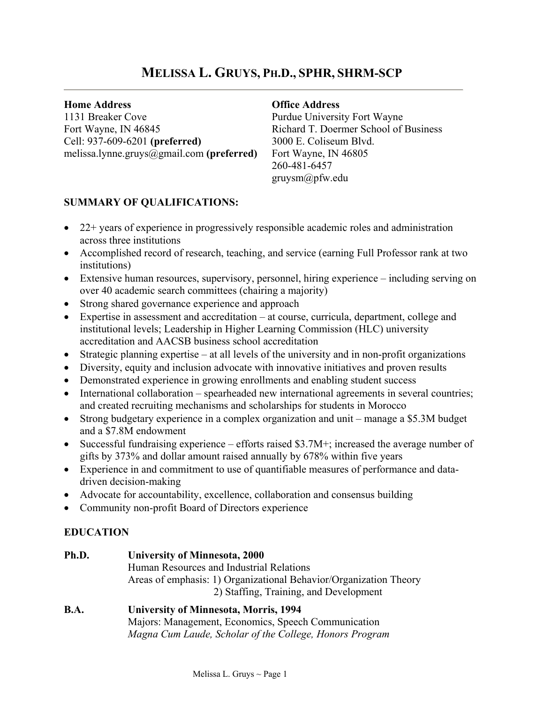# **MELISSA L. GRUYS, PH.D., SPHR, SHRM-SCP**

## **Home Address**

1131 Breaker Cove Fort Wayne, IN 46845 Cell: 937-609-6201 **(preferred)** melissa.lynne.gruys@gmail.com **(preferred)**

## **Office Address**

Purdue University Fort Wayne Richard T. Doermer School of Business 3000 E. Coliseum Blvd. Fort Wayne, IN 46805 260-481-6457 gruysm@pfw.edu

# **SUMMARY OF QUALIFICATIONS:**

- 22+ years of experience in progressively responsible academic roles and administration across three institutions
- Accomplished record of research, teaching, and service (earning Full Professor rank at two institutions)
- Extensive human resources, supervisory, personnel, hiring experience including serving on over 40 academic search committees (chairing a majority)
- Strong shared governance experience and approach
- Expertise in assessment and accreditation at course, curricula, department, college and institutional levels; Leadership in Higher Learning Commission (HLC) university accreditation and AACSB business school accreditation
- Strategic planning expertise at all levels of the university and in non-profit organizations
- Diversity, equity and inclusion advocate with innovative initiatives and proven results
- Demonstrated experience in growing enrollments and enabling student success
- International collaboration spearheaded new international agreements in several countries; and created recruiting mechanisms and scholarships for students in Morocco
- Strong budgetary experience in a complex organization and unit manage a \$5.3M budget and a \$7.8M endowment
- Successful fundraising experience efforts raised \$3.7M+; increased the average number of gifts by 373% and dollar amount raised annually by 678% within five years
- Experience in and commitment to use of quantifiable measures of performance and datadriven decision-making
- Advocate for accountability, excellence, collaboration and consensus building
- Community non-profit Board of Directors experience

# **EDUCATION**

**Ph.D. University of Minnesota, 2000** Human Resources and Industrial Relations Areas of emphasis: 1) Organizational Behavior/Organization Theory 2) Staffing, Training, and Development

## **B.A. University of Minnesota, Morris, 1994** Majors: Management, Economics, Speech Communication *Magna Cum Laude, Scholar of the College, Honors Program*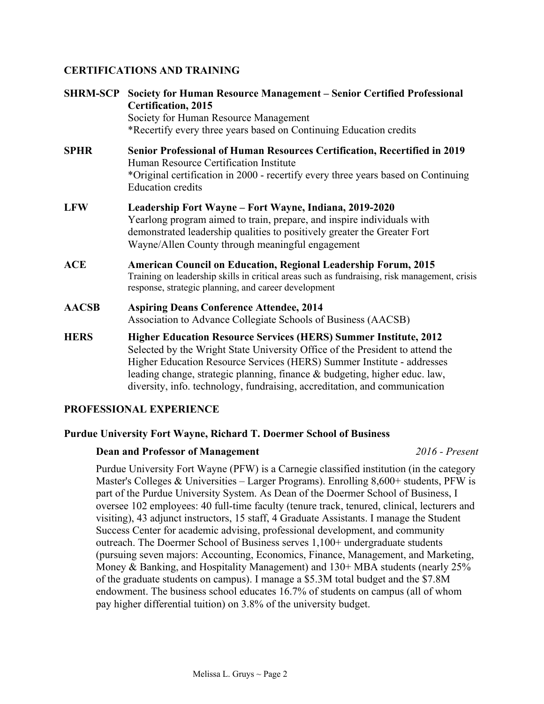# **CERTIFICATIONS AND TRAINING**

| <b>SHRM-SCP</b> | Society for Human Resource Management - Senior Certified Professional<br><b>Certification</b> , 2015<br>Society for Human Resource Management<br>*Recertify every three years based on Continuing Education credits                                                                                                                                                                            |
|-----------------|------------------------------------------------------------------------------------------------------------------------------------------------------------------------------------------------------------------------------------------------------------------------------------------------------------------------------------------------------------------------------------------------|
| <b>SPHR</b>     | Senior Professional of Human Resources Certification, Recertified in 2019<br>Human Resource Certification Institute<br>*Original certification in 2000 - recertify every three years based on Continuing<br><b>Education credits</b>                                                                                                                                                           |
| <b>LFW</b>      | Leadership Fort Wayne – Fort Wayne, Indiana, 2019-2020<br>Yearlong program aimed to train, prepare, and inspire individuals with<br>demonstrated leadership qualities to positively greater the Greater Fort<br>Wayne/Allen County through meaningful engagement                                                                                                                               |
| <b>ACE</b>      | <b>American Council on Education, Regional Leadership Forum, 2015</b><br>Training on leadership skills in critical areas such as fundraising, risk management, crisis<br>response, strategic planning, and career development                                                                                                                                                                  |
| <b>AACSB</b>    | <b>Aspiring Deans Conference Attendee, 2014</b><br>Association to Advance Collegiate Schools of Business (AACSB)                                                                                                                                                                                                                                                                               |
| <b>HERS</b>     | <b>Higher Education Resource Services (HERS) Summer Institute, 2012</b><br>Selected by the Wright State University Office of the President to attend the<br>Higher Education Resource Services (HERS) Summer Institute - addresses<br>leading change, strategic planning, finance & budgeting, higher educ. law,<br>diversity, info. technology, fundraising, accreditation, and communication |

## **PROFESSIONAL EXPERIENCE**

## **Purdue University Fort Wayne, Richard T. Doermer School of Business**

## **Dean and Professor of Management** *2016 - Present*

Purdue University Fort Wayne (PFW) is a Carnegie classified institution (in the category Master's Colleges & Universities – Larger Programs). Enrolling 8,600+ students, PFW is part of the Purdue University System. As Dean of the Doermer School of Business, I oversee 102 employees: 40 full-time faculty (tenure track, tenured, clinical, lecturers and visiting), 43 adjunct instructors, 15 staff, 4 Graduate Assistants. I manage the Student Success Center for academic advising, professional development, and community outreach. The Doermer School of Business serves 1,100+ undergraduate students (pursuing seven majors: Accounting, Economics, Finance, Management, and Marketing, Money & Banking, and Hospitality Management) and 130+ MBA students (nearly 25% of the graduate students on campus). I manage a \$5.3M total budget and the \$7.8M endowment. The business school educates 16.7% of students on campus (all of whom pay higher differential tuition) on 3.8% of the university budget.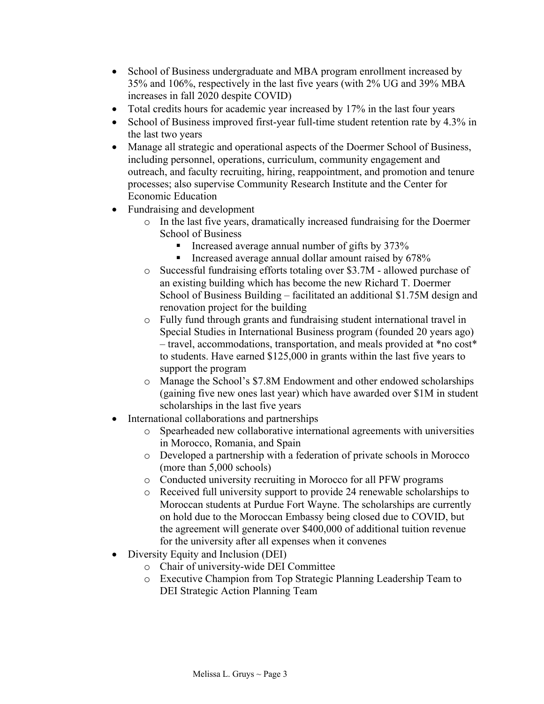- School of Business undergraduate and MBA program enrollment increased by 35% and 106%, respectively in the last five years (with 2% UG and 39% MBA increases in fall 2020 despite COVID)
- Total credits hours for academic year increased by 17% in the last four years
- School of Business improved first-year full-time student retention rate by 4.3% in the last two years
- Manage all strategic and operational aspects of the Doermer School of Business, including personnel, operations, curriculum, community engagement and outreach, and faculty recruiting, hiring, reappointment, and promotion and tenure processes; also supervise Community Research Institute and the Center for Economic Education
- Fundraising and development
	- o In the last five years, dramatically increased fundraising for the Doermer School of Business
		- Increased average annual number of gifts by  $373\%$
		- **Increased average annual dollar amount raised by 678%**
	- o Successful fundraising efforts totaling over \$3.7M allowed purchase of an existing building which has become the new Richard T. Doermer School of Business Building – facilitated an additional \$1.75M design and renovation project for the building
	- o Fully fund through grants and fundraising student international travel in Special Studies in International Business program (founded 20 years ago) – travel, accommodations, transportation, and meals provided at \*no cost\* to students. Have earned \$125,000 in grants within the last five years to support the program
	- o Manage the School's \$7.8M Endowment and other endowed scholarships (gaining five new ones last year) which have awarded over \$1M in student scholarships in the last five years
- International collaborations and partnerships
	- o Spearheaded new collaborative international agreements with universities in Morocco, Romania, and Spain
	- o Developed a partnership with a federation of private schools in Morocco (more than 5,000 schools)
	- o Conducted university recruiting in Morocco for all PFW programs
	- o Received full university support to provide 24 renewable scholarships to Moroccan students at Purdue Fort Wayne. The scholarships are currently on hold due to the Moroccan Embassy being closed due to COVID, but the agreement will generate over \$400,000 of additional tuition revenue for the university after all expenses when it convenes
- Diversity Equity and Inclusion (DEI)
	- o Chair of university-wide DEI Committee
	- o Executive Champion from Top Strategic Planning Leadership Team to DEI Strategic Action Planning Team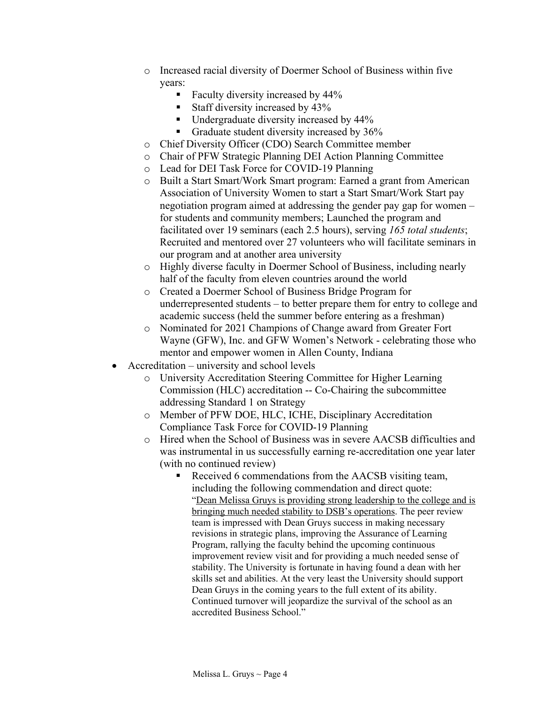- o Increased racial diversity of Doermer School of Business within five years:
	- Faculty diversity increased by 44%
	- Staff diversity increased by 43%
	- Undergraduate diversity increased by 44%
	- Graduate student diversity increased by 36%
- o Chief Diversity Officer (CDO) Search Committee member
- o Chair of PFW Strategic Planning DEI Action Planning Committee
- o Lead for DEI Task Force for COVID-19 Planning
- o Built a Start Smart/Work Smart program: Earned a grant from American Association of University Women to start a Start Smart/Work Start pay negotiation program aimed at addressing the gender pay gap for women – for students and community members; Launched the program and facilitated over 19 seminars (each 2.5 hours), serving *165 total students*; Recruited and mentored over 27 volunteers who will facilitate seminars in our program and at another area university
- o Highly diverse faculty in Doermer School of Business, including nearly half of the faculty from eleven countries around the world
- o Created a Doermer School of Business Bridge Program for underrepresented students – to better prepare them for entry to college and academic success (held the summer before entering as a freshman)
- o Nominated for 2021 Champions of Change award from Greater Fort Wayne (GFW), Inc. and GFW Women's Network - celebrating those who mentor and empower women in Allen County, Indiana
- Accreditation university and school levels
	- o University Accreditation Steering Committee for Higher Learning Commission (HLC) accreditation -- Co-Chairing the subcommittee addressing Standard 1 on Strategy
	- o Member of PFW DOE, HLC, ICHE, Disciplinary Accreditation Compliance Task Force for COVID-19 Planning
	- o Hired when the School of Business was in severe AACSB difficulties and was instrumental in us successfully earning re-accreditation one year later (with no continued review)
		- Received 6 commendations from the AACSB visiting team, including the following commendation and direct quote: "Dean Melissa Gruys is providing strong leadership to the college and is bringing much needed stability to DSB's operations. The peer review team is impressed with Dean Gruys success in making necessary revisions in strategic plans, improving the Assurance of Learning Program, rallying the faculty behind the upcoming continuous improvement review visit and for providing a much needed sense of stability. The University is fortunate in having found a dean with her skills set and abilities. At the very least the University should support Dean Gruys in the coming years to the full extent of its ability. Continued turnover will jeopardize the survival of the school as an accredited Business School."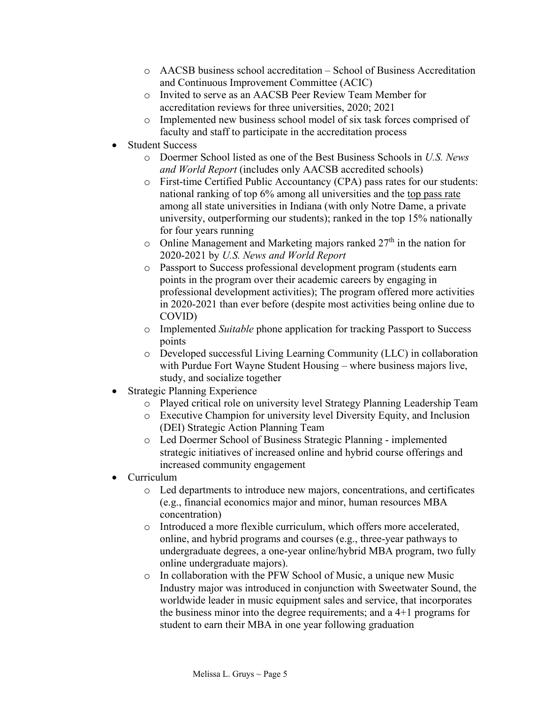- o AACSB business school accreditation School of Business Accreditation and Continuous Improvement Committee (ACIC)
- o Invited to serve as an AACSB Peer Review Team Member for accreditation reviews for three universities, 2020; 2021
- o Implemented new business school model of six task forces comprised of faculty and staff to participate in the accreditation process
- Student Success
	- o Doermer School listed as one of the Best Business Schools in *U.S. News and World Report* (includes only AACSB accredited schools)
	- o First-time Certified Public Accountancy (CPA) pass rates for our students: national ranking of top 6% among all universities and the top pass rate among all state universities in Indiana (with only Notre Dame, a private university, outperforming our students); ranked in the top 15% nationally for four years running
	- o Online Management and Marketing majors ranked  $27<sup>th</sup>$  in the nation for 2020-2021 by *U.S. News and World Report*
	- o Passport to Success professional development program (students earn points in the program over their academic careers by engaging in professional development activities); The program offered more activities in 2020-2021 than ever before (despite most activities being online due to COVID)
	- o Implemented *Suitable* phone application for tracking Passport to Success points
	- $\circ$  Developed successful Living Learning Community (LLC) in collaboration with Purdue Fort Wayne Student Housing – where business majors live, study, and socialize together
- **Strategic Planning Experience** 
	- o Played critical role on university level Strategy Planning Leadership Team
	- o Executive Champion for university level Diversity Equity, and Inclusion (DEI) Strategic Action Planning Team
	- o Led Doermer School of Business Strategic Planning implemented strategic initiatives of increased online and hybrid course offerings and increased community engagement
- Curriculum
	- o Led departments to introduce new majors, concentrations, and certificates (e.g., financial economics major and minor, human resources MBA concentration)
	- o Introduced a more flexible curriculum, which offers more accelerated, online, and hybrid programs and courses (e.g., three-year pathways to undergraduate degrees, a one-year online/hybrid MBA program, two fully online undergraduate majors).
	- o In collaboration with the PFW School of Music, a unique new Music Industry major was introduced in conjunction with Sweetwater Sound, the worldwide leader in music equipment sales and service, that incorporates the business minor into the degree requirements; and a 4+1 programs for student to earn their MBA in one year following graduation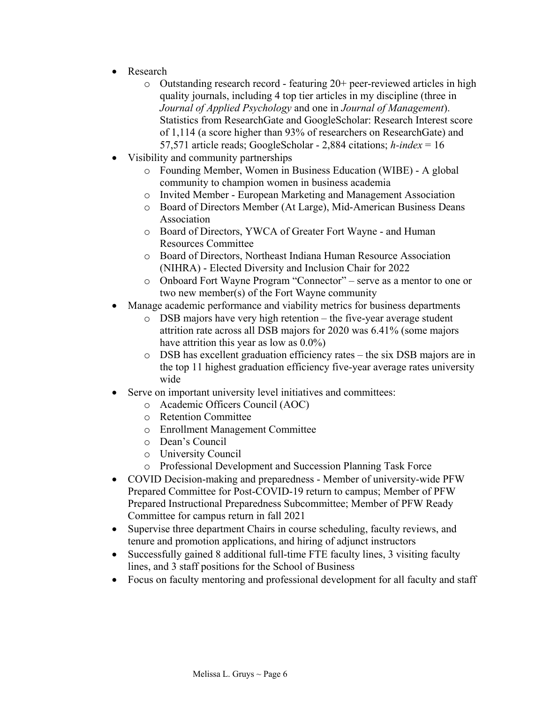- Research
	- o Outstanding research record featuring 20+ peer-reviewed articles in high quality journals, including 4 top tier articles in my discipline (three in *Journal of Applied Psychology* and one in *Journal of Management*). Statistics from ResearchGate and GoogleScholar: Research Interest score of 1,114 (a score higher than 93% of researchers on ResearchGate) and 57,571 article reads; GoogleScholar - 2,884 citations; *h-index* = 16
- Visibility and community partnerships
	- o Founding Member, Women in Business Education (WIBE) A global community to champion women in business academia
	- o Invited Member European Marketing and Management Association
	- o Board of Directors Member (At Large), Mid-American Business Deans Association
	- o Board of Directors, YWCA of Greater Fort Wayne and Human Resources Committee
	- o Board of Directors, Northeast Indiana Human Resource Association (NIHRA) - Elected Diversity and Inclusion Chair for 2022
	- o Onboard Fort Wayne Program "Connector" serve as a mentor to one or two new member(s) of the Fort Wayne community
- Manage academic performance and viability metrics for business departments
	- o DSB majors have very high retention the five-year average student attrition rate across all DSB majors for 2020 was 6.41% (some majors have attrition this year as low as 0.0%)
	- o DSB has excellent graduation efficiency rates the six DSB majors are in the top 11 highest graduation efficiency five-year average rates university wide
- Serve on important university level initiatives and committees:
	- o Academic Officers Council (AOC)
	- o Retention Committee
	- o Enrollment Management Committee
	- o Dean's Council
	- o University Council
	- o Professional Development and Succession Planning Task Force
- COVID Decision-making and preparedness Member of university-wide PFW Prepared Committee for Post-COVID-19 return to campus; Member of PFW Prepared Instructional Preparedness Subcommittee; Member of PFW Ready Committee for campus return in fall 2021
- Supervise three department Chairs in course scheduling, faculty reviews, and tenure and promotion applications, and hiring of adjunct instructors
- Successfully gained 8 additional full-time FTE faculty lines, 3 visiting faculty lines, and 3 staff positions for the School of Business
- Focus on faculty mentoring and professional development for all faculty and staff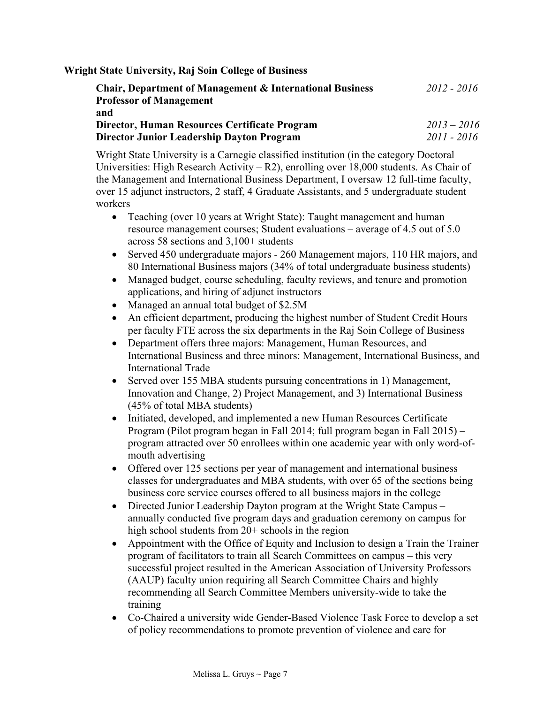**Wright State University, Raj Soin College of Business**

| <b>Chair, Department of Management &amp; International Business</b> | $2012 - 2016$ |
|---------------------------------------------------------------------|---------------|
| <b>Professor of Management</b>                                      |               |
| and                                                                 |               |
| Director, Human Resources Certificate Program                       | $2013 - 2016$ |
| <b>Director Junior Leadership Dayton Program</b>                    | $2011 - 2016$ |

Wright State University is a Carnegie classified institution (in the category Doctoral Universities: High Research Activity – R2), enrolling over 18,000 students. As Chair of the Management and International Business Department, I oversaw 12 full-time faculty, over 15 adjunct instructors, 2 staff, 4 Graduate Assistants, and 5 undergraduate student workers

- Teaching (over 10 years at Wright State): Taught management and human resource management courses; Student evaluations – average of 4.5 out of 5.0 across 58 sections and 3,100+ students
- Served 450 undergraduate majors 260 Management majors, 110 HR majors, and 80 International Business majors (34% of total undergraduate business students)
- Managed budget, course scheduling, faculty reviews, and tenure and promotion applications, and hiring of adjunct instructors
- Managed an annual total budget of \$2.5M
- An efficient department, producing the highest number of Student Credit Hours per faculty FTE across the six departments in the Raj Soin College of Business
- Department offers three majors: Management, Human Resources, and International Business and three minors: Management, International Business, and International Trade
- Served over 155 MBA students pursuing concentrations in 1) Management, Innovation and Change, 2) Project Management, and 3) International Business (45% of total MBA students)
- Initiated, developed, and implemented a new Human Resources Certificate Program (Pilot program began in Fall 2014; full program began in Fall 2015) – program attracted over 50 enrollees within one academic year with only word-ofmouth advertising
- Offered over 125 sections per year of management and international business classes for undergraduates and MBA students, with over 65 of the sections being business core service courses offered to all business majors in the college
- Directed Junior Leadership Dayton program at the Wright State Campus annually conducted five program days and graduation ceremony on campus for high school students from 20+ schools in the region
- Appointment with the Office of Equity and Inclusion to design a Train the Trainer program of facilitators to train all Search Committees on campus – this very successful project resulted in the American Association of University Professors (AAUP) faculty union requiring all Search Committee Chairs and highly recommending all Search Committee Members university-wide to take the training
- Co-Chaired a university wide Gender-Based Violence Task Force to develop a set of policy recommendations to promote prevention of violence and care for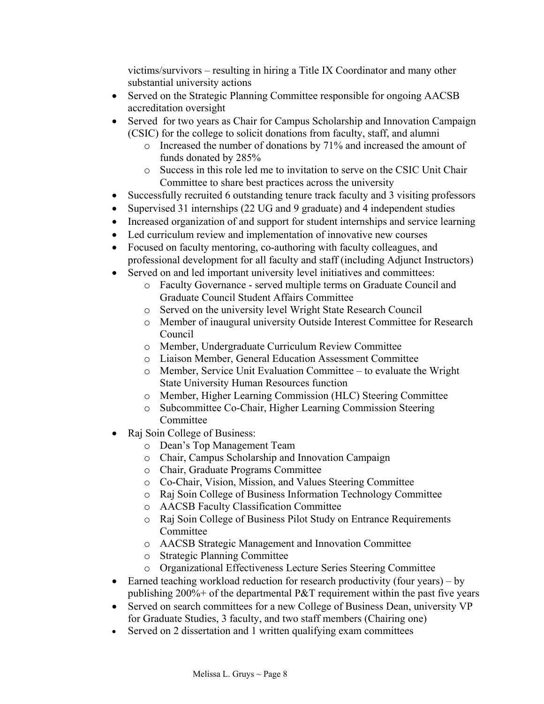victims/survivors – resulting in hiring a Title IX Coordinator and many other substantial university actions

- Served on the Strategic Planning Committee responsible for ongoing AACSB accreditation oversight
- Served for two years as Chair for Campus Scholarship and Innovation Campaign (CSIC) for the college to solicit donations from faculty, staff, and alumni
	- o Increased the number of donations by 71% and increased the amount of funds donated by 285%
	- o Success in this role led me to invitation to serve on the CSIC Unit Chair Committee to share best practices across the university
- Successfully recruited 6 outstanding tenure track faculty and 3 visiting professors
- Supervised 31 internships (22 UG and 9 graduate) and 4 independent studies
- Increased organization of and support for student internships and service learning
- Led curriculum review and implementation of innovative new courses
- Focused on faculty mentoring, co-authoring with faculty colleagues, and professional development for all faculty and staff (including Adjunct Instructors)
- Served on and led important university level initiatives and committees:
	- o Faculty Governance served multiple terms on Graduate Council and Graduate Council Student Affairs Committee
	- o Served on the university level Wright State Research Council
	- o Member of inaugural university Outside Interest Committee for Research Council
	- o Member, Undergraduate Curriculum Review Committee
	- o Liaison Member, General Education Assessment Committee
	- o Member, Service Unit Evaluation Committee to evaluate the Wright State University Human Resources function
	- o Member, Higher Learning Commission (HLC) Steering Committee
	- o Subcommittee Co-Chair, Higher Learning Commission Steering Committee
- Raj Soin College of Business:
	- o Dean's Top Management Team
	- o Chair, Campus Scholarship and Innovation Campaign
	- o Chair, Graduate Programs Committee
	- o Co-Chair, Vision, Mission, and Values Steering Committee
	- o Raj Soin College of Business Information Technology Committee
	- o AACSB Faculty Classification Committee
	- o Raj Soin College of Business Pilot Study on Entrance Requirements Committee
	- o AACSB Strategic Management and Innovation Committee
	- o Strategic Planning Committee
	- o Organizational Effectiveness Lecture Series Steering Committee
- Earned teaching workload reduction for research productivity (four years) by publishing 200%+ of the departmental P&T requirement within the past five years
- Served on search committees for a new College of Business Dean, university VP for Graduate Studies, 3 faculty, and two staff members (Chairing one)
- Served on 2 dissertation and 1 written qualifying exam committees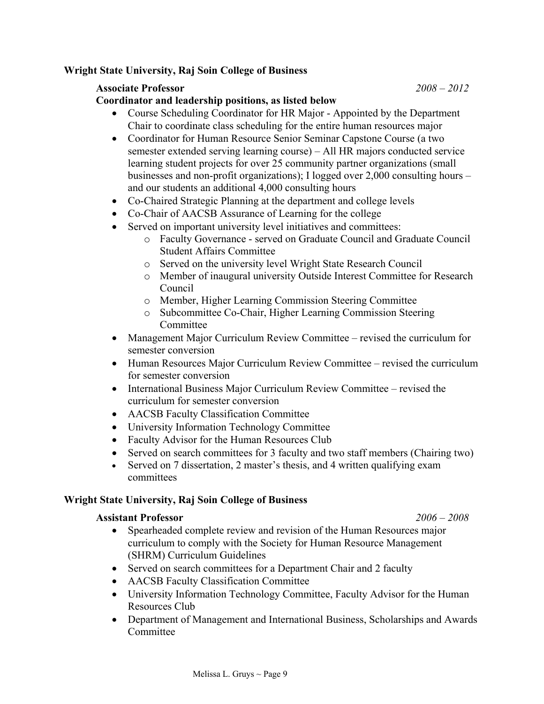## **Wright State University, Raj Soin College of Business**

## **Associate Professor** *2008 – 2012*

**Coordinator and leadership positions, as listed below**

- Course Scheduling Coordinator for HR Major Appointed by the Department Chair to coordinate class scheduling for the entire human resources major
- Coordinator for Human Resource Senior Seminar Capstone Course (a two semester extended serving learning course) – All HR majors conducted service learning student projects for over 25 community partner organizations (small businesses and non-profit organizations); I logged over 2,000 consulting hours – and our students an additional 4,000 consulting hours
- Co-Chaired Strategic Planning at the department and college levels
- Co-Chair of AACSB Assurance of Learning for the college
- Served on important university level initiatives and committees:
	- o Faculty Governance served on Graduate Council and Graduate Council Student Affairs Committee
	- o Served on the university level Wright State Research Council
	- o Member of inaugural university Outside Interest Committee for Research Council
	- o Member, Higher Learning Commission Steering Committee
	- o Subcommittee Co-Chair, Higher Learning Commission Steering Committee
- Management Major Curriculum Review Committee revised the curriculum for semester conversion
- Human Resources Major Curriculum Review Committee revised the curriculum for semester conversion
- International Business Major Curriculum Review Committee revised the curriculum for semester conversion
- AACSB Faculty Classification Committee
- University Information Technology Committee
- Faculty Advisor for the Human Resources Club
- Served on search committees for 3 faculty and two staff members (Chairing two)
- Served on 7 dissertation, 2 master's thesis, and 4 written qualifying exam committees

## **Wright State University, Raj Soin College of Business**

#### **Assistant Professor** *2006 – 2008*

- Spearheaded complete review and revision of the Human Resources major curriculum to comply with the Society for Human Resource Management (SHRM) Curriculum Guidelines
- Served on search committees for a Department Chair and 2 faculty
- AACSB Faculty Classification Committee
- University Information Technology Committee, Faculty Advisor for the Human Resources Club
- Department of Management and International Business, Scholarships and Awards Committee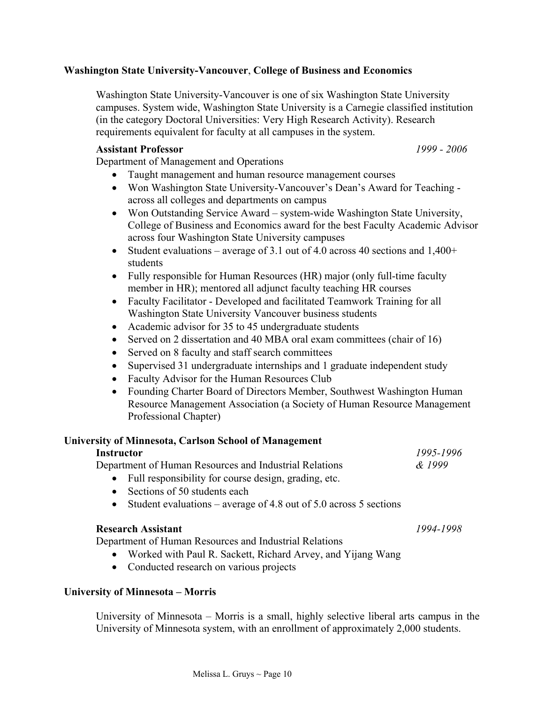## **Washington State University-Vancouver**, **College of Business and Economics**

Washington State University-Vancouver is one of six Washington State University campuses. System wide, Washington State University is a Carnegie classified institution (in the category Doctoral Universities: Very High Research Activity). Research requirements equivalent for faculty at all campuses in the system.

#### **Assistant Professor** *1999 - 2006*

Department of Management and Operations

- Taught management and human resource management courses
- Won Washington State University-Vancouver's Dean's Award for Teaching across all colleges and departments on campus
- Won Outstanding Service Award system-wide Washington State University, College of Business and Economics award for the best Faculty Academic Advisor across four Washington State University campuses
- Student evaluations average of 3.1 out of 4.0 across 40 sections and  $1,400+$ students
- Fully responsible for Human Resources (HR) major (only full-time faculty member in HR); mentored all adjunct faculty teaching HR courses
- Faculty Facilitator Developed and facilitated Teamwork Training for all Washington State University Vancouver business students
- Academic advisor for 35 to 45 undergraduate students
- Served on 2 dissertation and 40 MBA oral exam committees (chair of 16)
- Served on 8 faculty and staff search committees
- Supervised 31 undergraduate internships and 1 graduate independent study
- Faculty Advisor for the Human Resources Club
- Founding Charter Board of Directors Member, Southwest Washington Human Resource Management Association (a Society of Human Resource Management Professional Chapter)

## **University of Minnesota, Carlson School of Management**

#### **Instructor** *1995-1996*

Department of Human Resources and Industrial Relations *& 1999*

- Full responsibility for course design, grading, etc.
- Sections of 50 students each
- Student evaluations average of 4.8 out of 5.0 across 5 sections

## **Research Assistant** *1994-1998*

Department of Human Resources and Industrial Relations

- Worked with Paul R. Sackett, Richard Arvey, and Yijang Wang
- Conducted research on various projects

## **University of Minnesota – Morris**

University of Minnesota – Morris is a small, highly selective liberal arts campus in the University of Minnesota system, with an enrollment of approximately 2,000 students.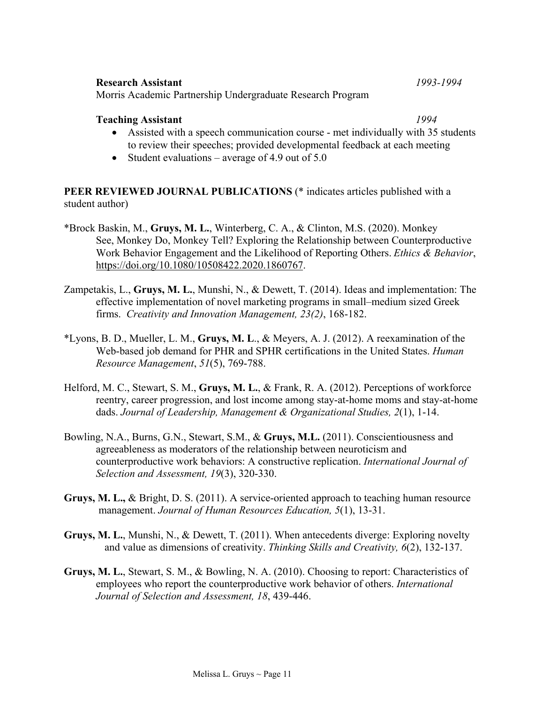## to review their speeches; provided developmental feedback at each meeting

• Student evaluations – average of 4.9 out of  $5.0$ 

Morris Academic Partnership Undergraduate Research Program

**PEER REVIEWED JOURNAL PUBLICATIONS** (\* indicates articles published with a student author)

\*Brock Baskin, M., **Gruys, M. L.**, Winterberg, C. A., & Clinton, M.S. (2020). Monkey See, Monkey Do, Monkey Tell? Exploring the Relationship between Counterproductive Work Behavior Engagement and the Likelihood of Reporting Others. *Ethics & Behavior*, [https://doi.org/10.1080/10508422.2020.1860767.](https://doi.org/10.1080/10508422.2020.1860767)

• Assisted with a speech communication course - met individually with 35 students

- Zampetakis, L., **Gruys, M. L.**, Munshi, N., & Dewett, T. (2014). Ideas and implementation: The effective implementation of novel marketing programs in small–medium sized Greek firms. *Creativity and Innovation Management, 23(2)*, 168-182.
- \*Lyons, B. D., Mueller, L. M., **Gruys, M. L**., & Meyers, A. J. (2012). A reexamination of the Web-based job demand for PHR and SPHR certifications in the United States. *Human Resource Management*, *51*(5), 769-788.
- Helford, M. C., Stewart, S. M., **Gruys, M. L.**, & Frank, R. A. (2012). Perceptions of workforce reentry, career progression, and lost income among stay-at-home moms and stay-at-home dads. *Journal of Leadership, Management & Organizational Studies, 2*(1), 1-14.
- Bowling, N.A., Burns, G.N., Stewart, S.M., & **Gruys, M.L.** (2011). Conscientiousness and agreeableness as moderators of the relationship between neuroticism and counterproductive work behaviors: A constructive replication. *International Journal of Selection and Assessment, 19*(3), 320-330.
- **Gruys, M. L.,** & Bright, D. S. (2011). A service-oriented approach to teaching human resource management. *Journal of Human Resources Education, 5*(1), 13-31.
- **Gruys, M. L.**, Munshi, N., & Dewett, T. (2011). When antecedents diverge: Exploring novelty and value as dimensions of creativity. *Thinking Skills and Creativity, 6*(2), 132-137.
- **Gruys, M. L.**, Stewart, S. M., & Bowling, N. A. (2010). Choosing to report: Characteristics of employees who report the counterproductive work behavior of others. *International Journal of Selection and Assessment, 18*, 439-446.

#### **Research Assistant** *1993-1994*

**Teaching Assistant** *1994*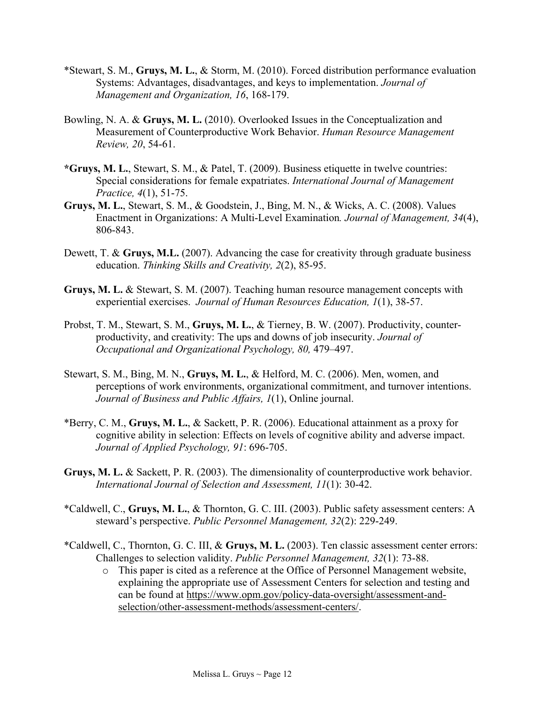- \*Stewart, S. M., **Gruys, M. L.**, & Storm, M. (2010). Forced distribution performance evaluation Systems: Advantages, disadvantages, and keys to implementation. *Journal of Management and Organization, 16*, 168-179.
- Bowling, N. A. & **Gruys, M. L.** (2010). Overlooked Issues in the Conceptualization and Measurement of Counterproductive Work Behavior. *Human Resource Management Review, 20*, 54-61.
- **\*Gruys, M. L.**, Stewart, S. M., & Patel, T. (2009). Business etiquette in twelve countries: Special considerations for female expatriates. *International Journal of Management Practice, 4*(1), 51-75.
- **Gruys, M. L.**, Stewart, S. M., & Goodstein, J., Bing, M. N., & Wicks, A. C. (2008). Values Enactment in Organizations: A Multi-Level Examination*. Journal of Management, 34*(4), 806-843.
- Dewett, T. & **Gruys, M.L.** (2007). Advancing the case for creativity through graduate business education. *Thinking Skills and Creativity, 2*(2), 85-95.
- **Gruys, M. L.** & Stewart, S. M. (2007). Teaching human resource management concepts with experiential exercises. *Journal of Human Resources Education, 1*(1), 38-57.
- Probst, T. M., Stewart, S. M., **Gruys, M. L.**, & Tierney, B. W. (2007). Productivity, counterproductivity, and creativity: The ups and downs of job insecurity. *Journal of Occupational and Organizational Psychology, 80,* 479–497.
- Stewart, S. M., Bing, M. N., **Gruys, M. L.**, & Helford, M. C. (2006). Men, women, and perceptions of work environments, organizational commitment, and turnover intentions. *Journal of Business and Public Affairs, 1*(1), Online journal.
- \*Berry, C. M., **Gruys, M. L.**, & Sackett, P. R. (2006). Educational attainment as a proxy for cognitive ability in selection: Effects on levels of cognitive ability and adverse impact. *Journal of Applied Psychology, 91*: 696-705.
- **Gruys, M. L.** & Sackett, P. R. (2003). The dimensionality of counterproductive work behavior. *International Journal of Selection and Assessment, 11*(1): 30-42.
- \*Caldwell, C., **Gruys, M. L.**, & Thornton, G. C. III. (2003). Public safety assessment centers: A steward's perspective. *Public Personnel Management, 32*(2): 229-249.
- \*Caldwell, C., Thornton, G. C. III, & **Gruys, M. L.** (2003). Ten classic assessment center errors: Challenges to selection validity. *Public Personnel Management, 32*(1): 73-88.
	- o This paper is cited as a reference at the Office of Personnel Management website, explaining the appropriate use of Assessment Centers for selection and testing and can be found at [https://www.opm.gov/policy-data-oversight/assessment-and](https://www.opm.gov/policy-data-oversight/assessment-and-selection/other-assessment-methods/assessment-centers/)[selection/other-assessment-methods/assessment-centers/.](https://www.opm.gov/policy-data-oversight/assessment-and-selection/other-assessment-methods/assessment-centers/)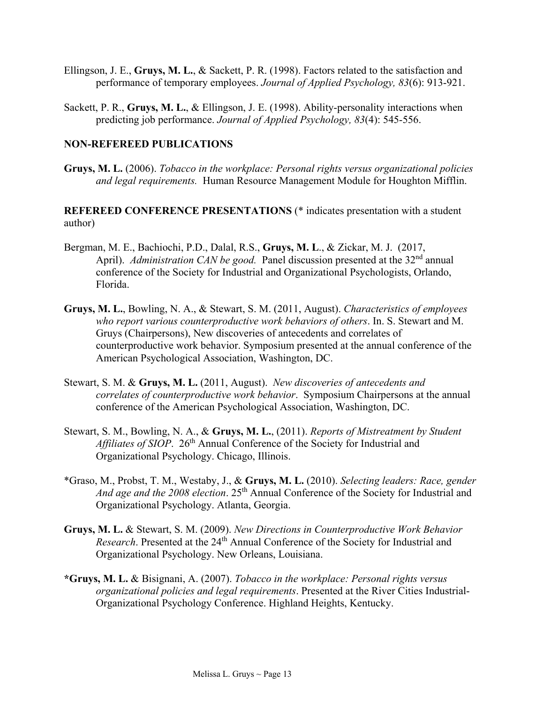- Ellingson, J. E., **Gruys, M. L.**, & Sackett, P. R. (1998). Factors related to the satisfaction and performance of temporary employees. *Journal of Applied Psychology, 83*(6): 913-921.
- Sackett, P. R., **Gruys, M. L.**, & Ellingson, J. E. (1998). Ability-personality interactions when predicting job performance. *Journal of Applied Psychology, 83*(4): 545-556.

## **NON-REFEREED PUBLICATIONS**

**Gruys, M. L.** (2006). *Tobacco in the workplace: Personal rights versus organizational policies and legal requirements.* Human Resource Management Module for Houghton Mifflin.

**REFEREED CONFERENCE PRESENTATIONS** (\* indicates presentation with a student author)

- Bergman, M. E., Bachiochi, P.D., Dalal, R.S., **Gruys, M. L**., & Zickar, M. J. (2017, April). *Administration CAN be good.* Panel discussion presented at the 32<sup>nd</sup> annual conference of the Society for Industrial and Organizational Psychologists, Orlando, Florida.
- **Gruys, M. L.**, Bowling, N. A., & Stewart, S. M. (2011, August). *Characteristics of employees who report various counterproductive work behaviors of others*. In. S. Stewart and M. Gruys (Chairpersons), New discoveries of antecedents and correlates of counterproductive work behavior. Symposium presented at the annual conference of the American Psychological Association, Washington, DC.
- Stewart, S. M. & **Gruys, M. L.** (2011, August). *New discoveries of antecedents and correlates of counterproductive work behavior*. Symposium Chairpersons at the annual conference of the American Psychological Association, Washington, DC.
- Stewart, S. M., Bowling, N. A., & **Gruys, M. L.**, (2011). *Reports of Mistreatment by Student*  Affiliates of SIOP. 26<sup>th</sup> Annual Conference of the Society for Industrial and Organizational Psychology. Chicago, Illinois.
- \*Graso, M., Probst, T. M., Westaby, J., & **Gruys, M. L.** (2010). *Selecting leaders: Race, gender*  And *age and the 2008 election*. 25<sup>th</sup> Annual Conference of the Society for Industrial and Organizational Psychology. Atlanta, Georgia.
- **Gruys, M. L.** & Stewart, S. M. (2009). *New Directions in Counterproductive Work Behavior Research*. Presented at the 24<sup>th</sup> Annual Conference of the Society for Industrial and Organizational Psychology. New Orleans, Louisiana.
- **\*Gruys, M. L.** & Bisignani, A. (2007). *Tobacco in the workplace: Personal rights versus organizational policies and legal requirements*. Presented at the River Cities Industrial-Organizational Psychology Conference. Highland Heights, Kentucky.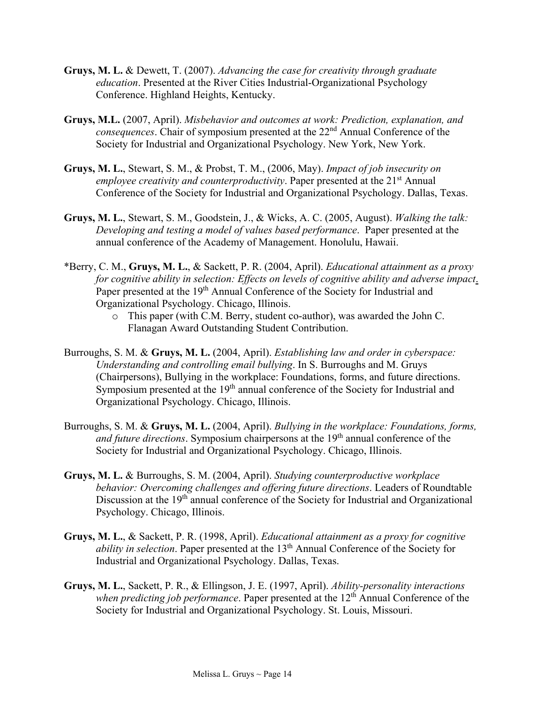- **Gruys, M. L.** & Dewett, T. (2007). *Advancing the case for creativity through graduate education*. Presented at the River Cities Industrial-Organizational Psychology Conference. Highland Heights, Kentucky.
- **Gruys, M.L.** (2007, April). *Misbehavior and outcomes at work: Prediction, explanation, and consequences*. Chair of symposium presented at the 22<sup>nd</sup> Annual Conference of the Society for Industrial and Organizational Psychology. New York, New York.
- **Gruys, M. L.**, Stewart, S. M., & Probst, T. M., (2006, May). *Impact of job insecurity on employee creativity and counterproductivity*. Paper presented at the 21<sup>st</sup> Annual Conference of the Society for Industrial and Organizational Psychology. Dallas, Texas.
- **Gruys, M. L.**, Stewart, S. M., Goodstein, J., & Wicks, A. C. (2005, August). *Walking the talk: Developing and testing a model of values based performance*. Paper presented at the annual conference of the Academy of Management. Honolulu, Hawaii.
- \*Berry, C. M., **Gruys, M. L.**, & Sackett, P. R. (2004, April). *Educational attainment as a proxy for cognitive ability in selection: Effects on levels of cognitive ability and adverse impact*. Paper presented at the 19<sup>th</sup> Annual Conference of the Society for Industrial and Organizational Psychology. Chicago, Illinois.
	- o This paper (with C.M. Berry, student co-author), was awarded the John C. Flanagan Award Outstanding Student Contribution.
- Burroughs, S. M. & **Gruys, M. L.** (2004, April). *Establishing law and order in cyberspace: Understanding and controlling email bullying*. In S. Burroughs and M. Gruys (Chairpersons), Bullying in the workplace: Foundations, forms, and future directions. Symposium presented at the 19<sup>th</sup> annual conference of the Society for Industrial and Organizational Psychology. Chicago, Illinois.
- Burroughs, S. M. & **Gruys, M. L.** (2004, April). *Bullying in the workplace: Foundations, forms,* and future directions. Symposium chairpersons at the 19<sup>th</sup> annual conference of the Society for Industrial and Organizational Psychology. Chicago, Illinois.
- **Gruys, M. L.** & Burroughs, S. M. (2004, April). *Studying counterproductive workplace behavior: Overcoming challenges and offering future directions*. Leaders of Roundtable Discussion at the 19<sup>th</sup> annual conference of the Society for Industrial and Organizational Psychology. Chicago, Illinois.
- **Gruys, M. L.**, & Sackett, P. R. (1998, April). *Educational attainment as a proxy for cognitive ability in selection*. Paper presented at the 13<sup>th</sup> Annual Conference of the Society for Industrial and Organizational Psychology. Dallas, Texas.
- **Gruys, M. L.**, Sackett, P. R., & Ellingson, J. E. (1997, April). *Ability-personality interactions when predicting job performance*. Paper presented at the 12<sup>th</sup> Annual Conference of the Society for Industrial and Organizational Psychology. St. Louis, Missouri.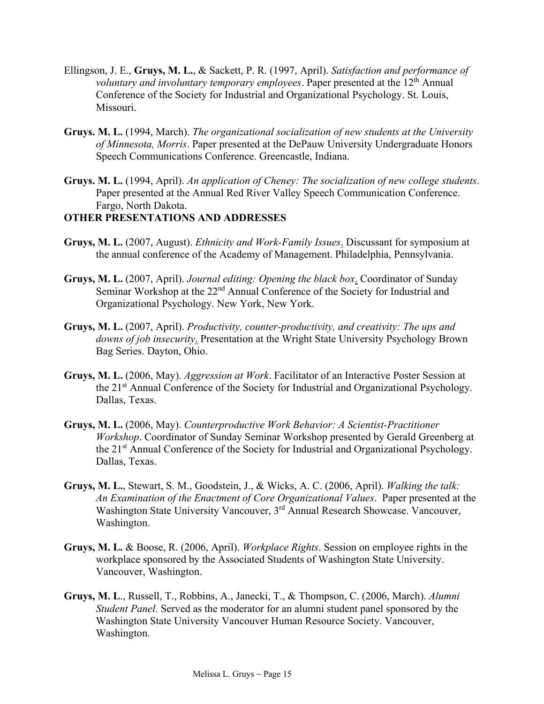- Ellingson, J. E., **Gruys, M. L.**, & Sackett, P. R. (1997, April). *Satisfaction and performance of voluntary and involuntary temporary employees*. Paper presented at the 12<sup>th</sup> Annual Conference of the Society for Industrial and Organizational Psychology. St. Louis, Missouri.
- **Gruys. M. L.** (1994, March). *The organizational socialization of new students at the University of Minnesota, Morris*. Paper presented at the DePauw University Undergraduate Honors Speech Communications Conference. Greencastle, Indiana.
- **Gruys. M. L.** (1994, April). *An application of Cheney: The socialization of new college students*. Paper presented at the Annual Red River Valley Speech Communication Conference. Fargo, North Dakota.

## **OTHER PRESENTATIONS AND ADDRESSES**

- **Gruys, M. L.** (2007, August). *Ethnicity and Work-Family Issues*. Discussant for symposium at the annual conference of the Academy of Management. Philadelphia, Pennsylvania.
- **Gruys, M. L.** (2007, April). *Journal editing: Opening the black box*. Coordinator of Sunday Seminar Workshop at the 22<sup>nd</sup> Annual Conference of the Society for Industrial and Organizational Psychology. New York, New York.
- **Gruys, M. L.** (2007, April). *Productivity, counter-productivity, and creativity: The ups and downs of job insecurity*. Presentation at the Wright State University Psychology Brown Bag Series. Dayton, Ohio.
- **Gruys, M. L.** (2006, May). *Aggression at Work*. Facilitator of an Interactive Poster Session at the 21<sup>st</sup> Annual Conference of the Society for Industrial and Organizational Psychology. Dallas, Texas.
- **Gruys, M. L.** (2006, May). *Counterproductive Work Behavior: A Scientist-Practitioner Workshop*. Coordinator of Sunday Seminar Workshop presented by Gerald Greenberg at the 21<sup>st</sup> Annual Conference of the Society for Industrial and Organizational Psychology. Dallas, Texas.
- **Gruys, M. L.**, Stewart, S. M., Goodstein, J., & Wicks, A. C. (2006, April). *Walking the talk: An Examination of the Enactment of Core Organizational Values*. Paper presented at the Washington State University Vancouver, 3<sup>rd</sup> Annual Research Showcase. Vancouver, Washington.
- **Gruys, M. L.** & Boose, R. (2006, April). *Workplace Rights*. Session on employee rights in the workplace sponsored by the Associated Students of Washington State University. Vancouver, Washington.
- **Gruys, M. L**., Russell, T., Robbins, A., Janecki, T., & Thompson, C. (2006, March). *Alumni Student Panel*. Served as the moderator for an alumni student panel sponsored by the Washington State University Vancouver Human Resource Society. Vancouver, Washington.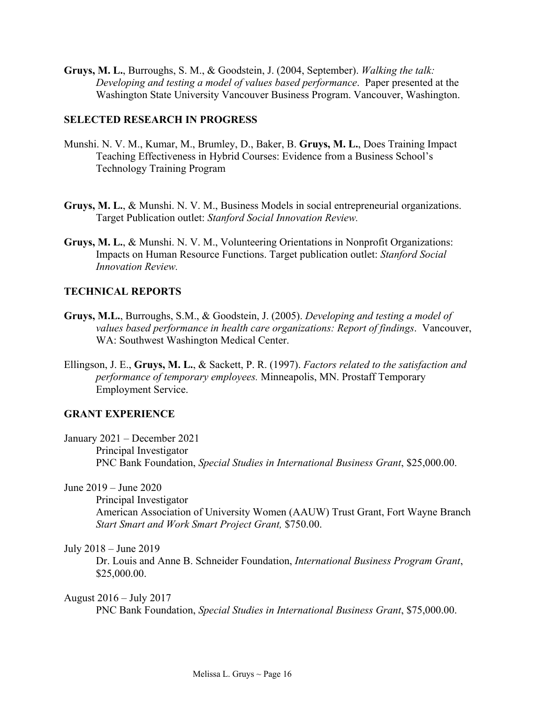**Gruys, M. L.**, Burroughs, S. M., & Goodstein, J. (2004, September). *Walking the talk: Developing and testing a model of values based performance*. Paper presented at the Washington State University Vancouver Business Program. Vancouver, Washington.

## **SELECTED RESEARCH IN PROGRESS**

- Munshi. N. V. M., Kumar, M., Brumley, D., Baker, B. **Gruys, M. L.**, Does Training Impact Teaching Effectiveness in Hybrid Courses: Evidence from a Business School's Technology Training Program
- **Gruys, M. L.**, & Munshi. N. V. M., Business Models in social entrepreneurial organizations. Target Publication outlet: *Stanford Social Innovation Review.*
- **Gruys, M. L.**, & Munshi. N. V. M., Volunteering Orientations in Nonprofit Organizations: Impacts on Human Resource Functions. Target publication outlet: *Stanford Social Innovation Review.*

# **TECHNICAL REPORTS**

- **Gruys, M.L.**, Burroughs, S.M., & Goodstein, J. (2005). *Developing and testing a model of values based performance in health care organizations: Report of findings*. Vancouver, WA: Southwest Washington Medical Center.
- Ellingson, J. E., **Gruys, M. L.**, & Sackett, P. R. (1997). *Factors related to the satisfaction and performance of temporary employees.* Minneapolis, MN. Prostaff Temporary Employment Service.

# **GRANT EXPERIENCE**

January 2021 – December 2021 Principal Investigator PNC Bank Foundation, *Special Studies in International Business Grant*, \$25,000.00.

June 2019 – June 2020

Principal Investigator American Association of University Women (AAUW) Trust Grant, Fort Wayne Branch *Start Smart and Work Smart Project Grant,* \$750.00.

July 2018 – June 2019

Dr. Louis and Anne B. Schneider Foundation, *International Business Program Grant*, \$25,000.00.

August 2016 – July 2017

PNC Bank Foundation, *Special Studies in International Business Grant*, \$75,000.00.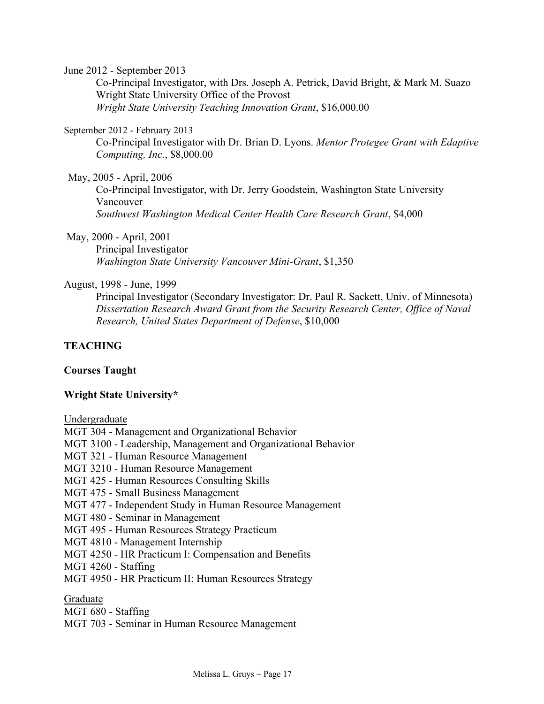June 2012 - September 2013

Co-Principal Investigator, with Drs. Joseph A. Petrick, David Bright, & Mark M. Suazo Wright State University Office of the Provost *Wright State University Teaching Innovation Grant*, \$16,000.00

#### September 2012 - February 2013

Co-Principal Investigator with Dr. Brian D. Lyons. *Mentor Protegee Grant with Edaptive Computing, Inc.*, \$8,000.00

May, 2005 - April, 2006

Co-Principal Investigator, with Dr. Jerry Goodstein, Washington State University Vancouver *Southwest Washington Medical Center Health Care Research Grant*, \$4,000

May, 2000 - April, 2001

Principal Investigator *Washington State University Vancouver Mini-Grant*, \$1,350

#### August, 1998 - June, 1999

Principal Investigator (Secondary Investigator: Dr. Paul R. Sackett, Univ. of Minnesota) *Dissertation Research Award Grant from the Security Research Center, Office of Naval Research, United States Department of Defense*, \$10,000

## **TEACHING**

#### **Courses Taught**

#### **Wright State University\***

Undergraduate

MGT 304 - Management and Organizational Behavior MGT 3100 - Leadership, Management and Organizational Behavior MGT 321 - Human Resource Management MGT 3210 - Human Resource Management MGT 425 - Human Resources Consulting Skills MGT 475 - Small Business Management MGT 477 - Independent Study in Human Resource Management MGT 480 - Seminar in Management MGT 495 - Human Resources Strategy Practicum MGT 4810 - Management Internship MGT 4250 - HR Practicum I: Compensation and Benefits MGT 4260 - Staffing MGT 4950 - HR Practicum II: Human Resources Strategy Graduate

MGT 680 - Staffing MGT 703 - Seminar in Human Resource Management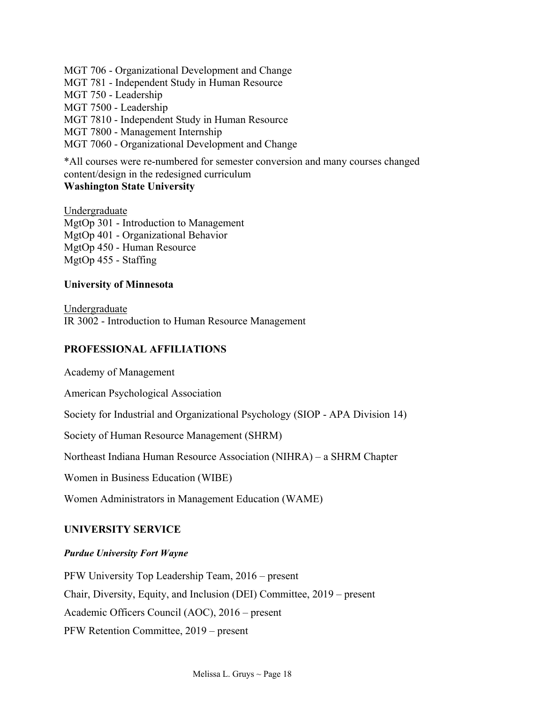MGT 706 - Organizational Development and Change

MGT 781 - Independent Study in Human Resource

MGT 750 - Leadership

MGT 7500 - Leadership

MGT 7810 - Independent Study in Human Resource

MGT 7800 - Management Internship

MGT 7060 - Organizational Development and Change

\*All courses were re-numbered for semester conversion and many courses changed content/design in the redesigned curriculum

# **Washington State University**

Undergraduate MgtOp 301 - Introduction to Management MgtOp 401 - Organizational Behavior MgtOp 450 - Human Resource MgtOp 455 - Staffing

# **University of Minnesota**

Undergraduate IR 3002 - Introduction to Human Resource Management

# **PROFESSIONAL AFFILIATIONS**

Academy of Management

American Psychological Association

Society for Industrial and Organizational Psychology (SIOP - APA Division 14)

Society of Human Resource Management (SHRM)

Northeast Indiana Human Resource Association (NIHRA) – a SHRM Chapter

Women in Business Education (WIBE)

Women Administrators in Management Education (WAME)

# **UNIVERSITY SERVICE**

# *Purdue University Fort Wayne*

PFW University Top Leadership Team, 2016 – present Chair, Diversity, Equity, and Inclusion (DEI) Committee, 2019 – present Academic Officers Council (AOC), 2016 – present PFW Retention Committee, 2019 – present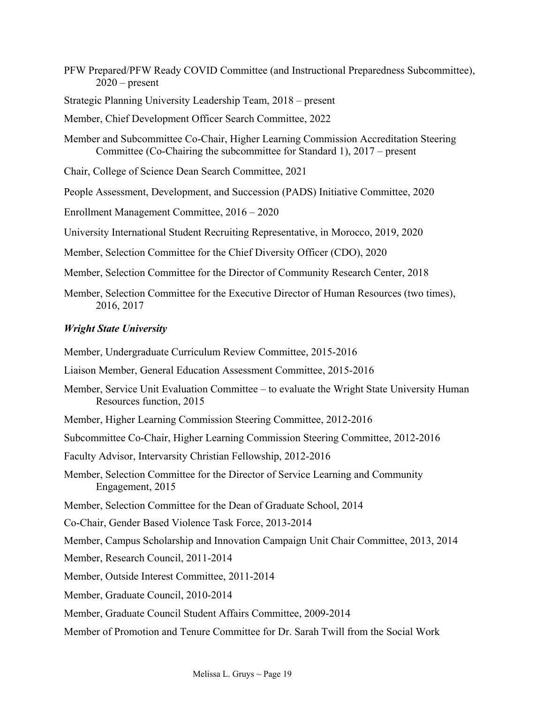- PFW Prepared/PFW Ready COVID Committee (and Instructional Preparedness Subcommittee),  $2020$  – present
- Strategic Planning University Leadership Team, 2018 present
- Member, Chief Development Officer Search Committee, 2022
- Member and Subcommittee Co-Chair, Higher Learning Commission Accreditation Steering Committee (Co-Chairing the subcommittee for Standard 1), 2017 – present
- Chair, College of Science Dean Search Committee, 2021
- People Assessment, Development, and Succession (PADS) Initiative Committee, 2020
- Enrollment Management Committee, 2016 2020
- University International Student Recruiting Representative, in Morocco, 2019, 2020
- Member, Selection Committee for the Chief Diversity Officer (CDO), 2020
- Member, Selection Committee for the Director of Community Research Center, 2018
- Member, Selection Committee for the Executive Director of Human Resources (two times), 2016, 2017

## *Wright State University*

Member, Undergraduate Curriculum Review Committee, 2015-2016 Liaison Member, General Education Assessment Committee, 2015-2016 Member, Service Unit Evaluation Committee – to evaluate the Wright State University Human Resources function, 2015 Member, Higher Learning Commission Steering Committee, 2012-2016 Subcommittee Co-Chair, Higher Learning Commission Steering Committee, 2012-2016 Faculty Advisor, Intervarsity Christian Fellowship, 2012-2016 Member, Selection Committee for the Director of Service Learning and Community Engagement, 2015 Member, Selection Committee for the Dean of Graduate School, 2014 Co-Chair, Gender Based Violence Task Force, 2013-2014 Member, Campus Scholarship and Innovation Campaign Unit Chair Committee, 2013, 2014 Member, Research Council, 2011-2014 Member, Outside Interest Committee, 2011-2014 Member, Graduate Council, 2010-2014 Member, Graduate Council Student Affairs Committee, 2009-2014 Member of Promotion and Tenure Committee for Dr. Sarah Twill from the Social Work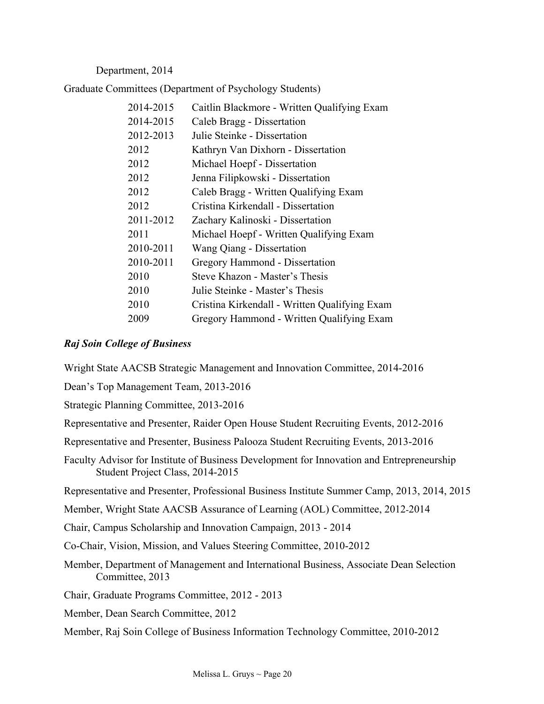Department, 2014

Graduate Committees (Department of Psychology Students)

| Caitlin Blackmore - Written Qualifying Exam   |
|-----------------------------------------------|
| Caleb Bragg - Dissertation                    |
| Julie Steinke - Dissertation                  |
| Kathryn Van Dixhorn - Dissertation            |
| Michael Hoepf - Dissertation                  |
| Jenna Filipkowski - Dissertation              |
| Caleb Bragg - Written Qualifying Exam         |
| Cristina Kirkendall - Dissertation            |
| Zachary Kalinoski - Dissertation              |
| Michael Hoepf - Written Qualifying Exam       |
| Wang Qiang - Dissertation                     |
| Gregory Hammond - Dissertation                |
| Steve Khazon - Master's Thesis                |
| Julie Steinke - Master's Thesis               |
| Cristina Kirkendall - Written Qualifying Exam |
| Gregory Hammond - Written Qualifying Exam     |
|                                               |

## *Raj Soin College of Business*

Wright State AACSB Strategic Management and Innovation Committee, 2014-2016

Dean's Top Management Team, 2013-2016

Strategic Planning Committee, 2013-2016

Representative and Presenter, Raider Open House Student Recruiting Events, 2012-2016

Representative and Presenter, Business Palooza Student Recruiting Events, 2013-2016

Faculty Advisor for Institute of Business Development for Innovation and Entrepreneurship Student Project Class, 2014-2015

Representative and Presenter, Professional Business Institute Summer Camp, 2013, 2014, 2015

Member, Wright State AACSB Assurance of Learning (AOL) Committee, 2012-2014

Chair, Campus Scholarship and Innovation Campaign, 2013 - 2014

Co-Chair, Vision, Mission, and Values Steering Committee, 2010-2012

Member, Department of Management and International Business, Associate Dean Selection Committee, 2013

Chair, Graduate Programs Committee, 2012 - 2013

Member, Dean Search Committee, 2012

Member, Raj Soin College of Business Information Technology Committee, 2010-2012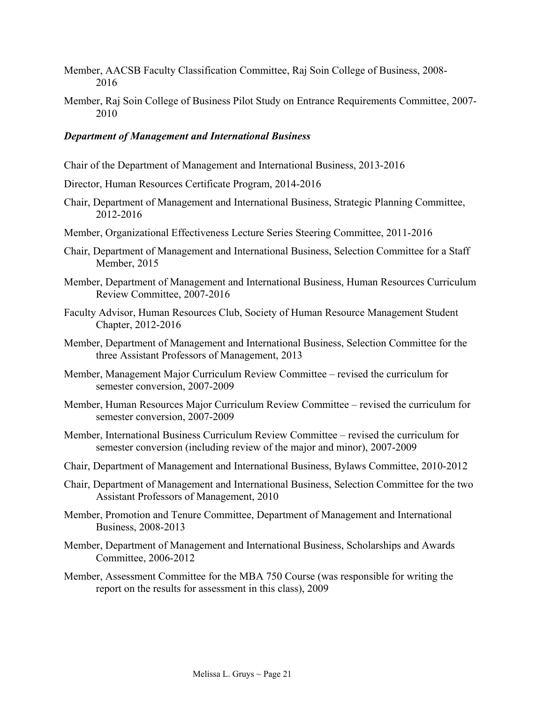- Member, AACSB Faculty Classification Committee, Raj Soin College of Business, 2008- 2016
- Member, Raj Soin College of Business Pilot Study on Entrance Requirements Committee, 2007- 2010

#### *Department of Management and International Business*

- Chair of the Department of Management and International Business, 2013-2016
- Director, Human Resources Certificate Program, 2014-2016
- Chair, Department of Management and International Business, Strategic Planning Committee, 2012-2016
- Member, Organizational Effectiveness Lecture Series Steering Committee, 2011-2016
- Chair, Department of Management and International Business, Selection Committee for a Staff Member, 2015
- Member, Department of Management and International Business, Human Resources Curriculum Review Committee, 2007-2016
- Faculty Advisor, Human Resources Club, Society of Human Resource Management Student Chapter, 2012-2016
- Member, Department of Management and International Business, Selection Committee for the three Assistant Professors of Management, 2013
- Member, Management Major Curriculum Review Committee revised the curriculum for semester conversion, 2007-2009
- Member, Human Resources Major Curriculum Review Committee revised the curriculum for semester conversion, 2007-2009
- Member, International Business Curriculum Review Committee revised the curriculum for semester conversion (including review of the major and minor), 2007-2009
- Chair, Department of Management and International Business, Bylaws Committee, 2010-2012
- Chair, Department of Management and International Business, Selection Committee for the two Assistant Professors of Management, 2010
- Member, Promotion and Tenure Committee, Department of Management and International Business, 2008-2013
- Member, Department of Management and International Business, Scholarships and Awards Committee, 2006-2012
- Member, Assessment Committee for the MBA 750 Course (was responsible for writing the report on the results for assessment in this class), 2009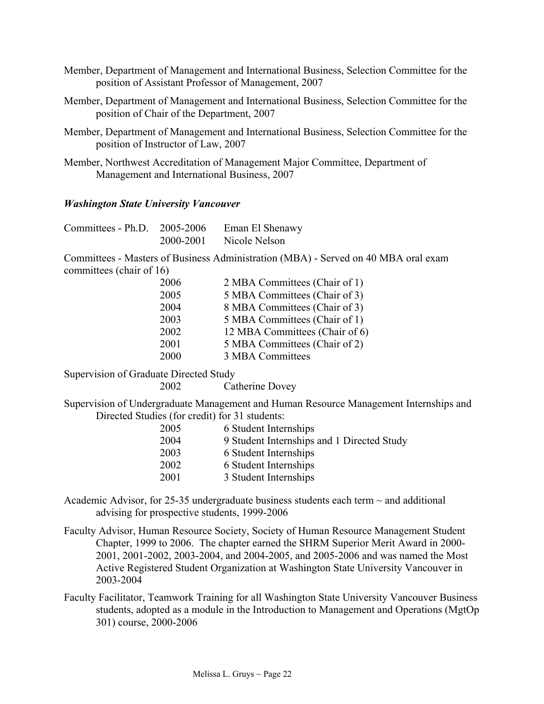- Member, Department of Management and International Business, Selection Committee for the position of Assistant Professor of Management, 2007
- Member, Department of Management and International Business, Selection Committee for the position of Chair of the Department, 2007
- Member, Department of Management and International Business, Selection Committee for the position of Instructor of Law, 2007
- Member, Northwest Accreditation of Management Major Committee, Department of Management and International Business, 2007

#### *Washington State University Vancouver*

| Committees - Ph.D. 2005-2006 |           | Eman El Shenawy |
|------------------------------|-----------|-----------------|
|                              | 2000-2001 | Nicole Nelson   |

Committees - Masters of Business Administration (MBA) - Served on 40 MBA oral exam committees (chair of 16)

| 2005<br>2004<br>2003<br>2002<br>2001 | 2006 | 2 MBA Committees (Chair of 1)  |
|--------------------------------------|------|--------------------------------|
|                                      |      | 5 MBA Committees (Chair of 3)  |
|                                      |      | 8 MBA Committees (Chair of 3)  |
|                                      |      | 5 MBA Committees (Chair of 1)  |
|                                      |      | 12 MBA Committees (Chair of 6) |
|                                      |      | 5 MBA Committees (Chair of 2)  |
|                                      | 2000 | 3 MBA Committees               |

Supervision of Graduate Directed Study

2002 Catherine Dovey

Supervision of Undergraduate Management and Human Resource Management Internships and Directed Studies (for credit) for 31 students:

| 2005 | 6 Student Internships                      |
|------|--------------------------------------------|
| 2004 | 9 Student Internships and 1 Directed Study |
| 2003 | 6 Student Internships                      |
| 2002 | 6 Student Internships                      |
| 2001 | 3 Student Internships                      |
|      |                                            |

Academic Advisor, for 25-35 undergraduate business students each term  $\sim$  and additional advising for prospective students, 1999-2006

Faculty Advisor, Human Resource Society, Society of Human Resource Management Student Chapter, 1999 to 2006. The chapter earned the SHRM Superior Merit Award in 2000- 2001, 2001-2002, 2003-2004, and 2004-2005, and 2005-2006 and was named the Most Active Registered Student Organization at Washington State University Vancouver in 2003-2004

Faculty Facilitator, Teamwork Training for all Washington State University Vancouver Business students, adopted as a module in the Introduction to Management and Operations (MgtOp 301) course, 2000-2006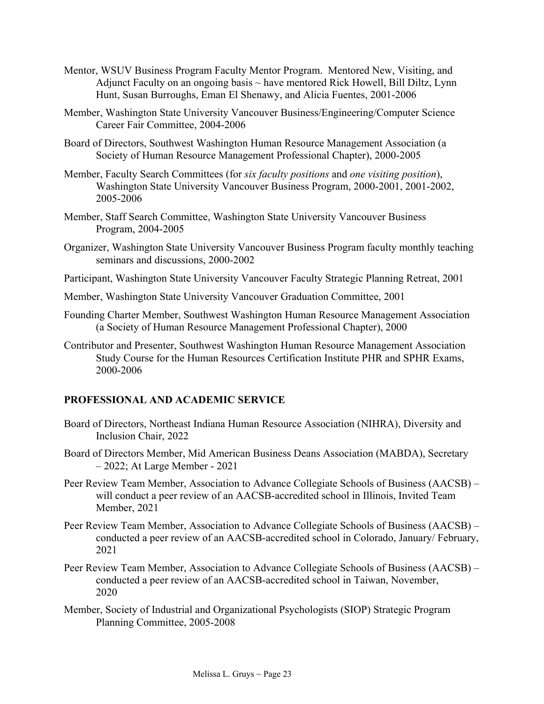- Mentor, WSUV Business Program Faculty Mentor Program. Mentored New, Visiting, and Adjunct Faculty on an ongoing basis  $\sim$  have mentored Rick Howell, Bill Diltz, Lynn Hunt, Susan Burroughs, Eman El Shenawy, and Alicia Fuentes, 2001-2006
- Member, Washington State University Vancouver Business/Engineering/Computer Science Career Fair Committee, 2004-2006
- Board of Directors, Southwest Washington Human Resource Management Association (a Society of Human Resource Management Professional Chapter), 2000-2005
- Member, Faculty Search Committees (for *six faculty positions* and *one visiting position*), Washington State University Vancouver Business Program, 2000-2001, 2001-2002, 2005-2006
- Member, Staff Search Committee, Washington State University Vancouver Business Program, 2004-2005
- Organizer, Washington State University Vancouver Business Program faculty monthly teaching seminars and discussions, 2000-2002
- Participant, Washington State University Vancouver Faculty Strategic Planning Retreat, 2001
- Member, Washington State University Vancouver Graduation Committee, 2001
- Founding Charter Member, Southwest Washington Human Resource Management Association (a Society of Human Resource Management Professional Chapter), 2000
- Contributor and Presenter, Southwest Washington Human Resource Management Association Study Course for the Human Resources Certification Institute PHR and SPHR Exams, 2000-2006

#### **PROFESSIONAL AND ACADEMIC SERVICE**

- Board of Directors, Northeast Indiana Human Resource Association (NIHRA), Diversity and Inclusion Chair, 2022
- Board of Directors Member, Mid American Business Deans Association (MABDA), Secretary – 2022; At Large Member - 2021
- Peer Review Team Member, Association to Advance Collegiate Schools of Business (AACSB) will conduct a peer review of an AACSB-accredited school in Illinois, Invited Team Member, 2021
- Peer Review Team Member, Association to Advance Collegiate Schools of Business (AACSB) conducted a peer review of an AACSB-accredited school in Colorado, January/ February, 2021
- Peer Review Team Member, Association to Advance Collegiate Schools of Business (AACSB) conducted a peer review of an AACSB-accredited school in Taiwan, November, 2020
- Member, Society of Industrial and Organizational Psychologists (SIOP) Strategic Program Planning Committee, 2005-2008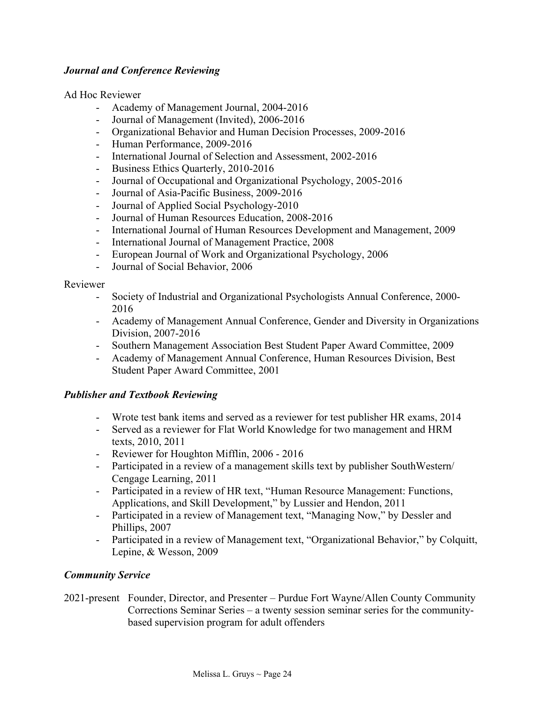# *Journal and Conference Reviewing*

Ad Hoc Reviewer

- Academy of Management Journal, 2004-2016
- Journal of Management (Invited), 2006-2016
- Organizational Behavior and Human Decision Processes, 2009-2016
- Human Performance, 2009-2016
- International Journal of Selection and Assessment, 2002-2016
- Business Ethics Quarterly, 2010-2016
- Journal of Occupational and Organizational Psychology, 2005-2016
- Journal of Asia-Pacific Business, 2009-2016
- Journal of Applied Social Psychology-2010
- Journal of Human Resources Education, 2008-2016
- International Journal of Human Resources Development and Management, 2009
- International Journal of Management Practice, 2008
- European Journal of Work and Organizational Psychology, 2006
- Journal of Social Behavior, 2006

#### Reviewer

- Society of Industrial and Organizational Psychologists Annual Conference, 2000- 2016
- Academy of Management Annual Conference, Gender and Diversity in Organizations Division, 2007-2016
- Southern Management Association Best Student Paper Award Committee, 2009
- Academy of Management Annual Conference, Human Resources Division, Best Student Paper Award Committee, 2001

## *Publisher and Textbook Reviewing*

- Wrote test bank items and served as a reviewer for test publisher HR exams, 2014
- Served as a reviewer for Flat World Knowledge for two management and HRM texts, 2010, 2011
- Reviewer for Houghton Mifflin, 2006 2016
- Participated in a review of a management skills text by publisher SouthWestern/ Cengage Learning, 2011
- Participated in a review of HR text, "Human Resource Management: Functions, Applications, and Skill Development," by Lussier and Hendon, 2011
- Participated in a review of Management text, "Managing Now," by Dessler and Phillips, 2007
- Participated in a review of Management text, "Organizational Behavior," by Colquitt, Lepine, & Wesson, 2009

# *Community Service*

2021-present Founder, Director, and Presenter – Purdue Fort Wayne/Allen County Community Corrections Seminar Series – a twenty session seminar series for the communitybased supervision program for adult offenders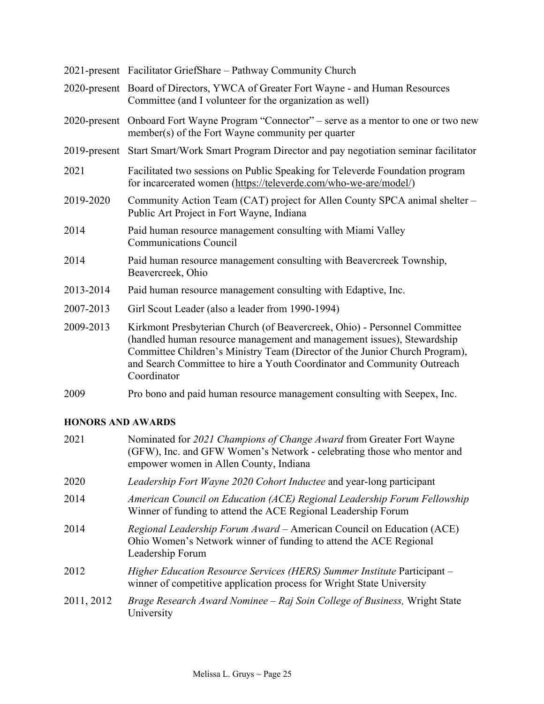|           | 2021-present Facilitator GriefShare - Pathway Community Church                                                                                                                                                                                                                                                               |
|-----------|------------------------------------------------------------------------------------------------------------------------------------------------------------------------------------------------------------------------------------------------------------------------------------------------------------------------------|
|           | 2020-present Board of Directors, YWCA of Greater Fort Wayne - and Human Resources<br>Committee (and I volunteer for the organization as well)                                                                                                                                                                                |
|           | 2020-present Onboard Fort Wayne Program "Connector" – serve as a mentor to one or two new<br>member(s) of the Fort Wayne community per quarter                                                                                                                                                                               |
|           | 2019-present Start Smart/Work Smart Program Director and pay negotiation seminar facilitator                                                                                                                                                                                                                                 |
| 2021      | Facilitated two sessions on Public Speaking for Televerde Foundation program<br>for incarcerated women (https://televerde.com/who-we-are/model/)                                                                                                                                                                             |
| 2019-2020 | Community Action Team (CAT) project for Allen County SPCA animal shelter -<br>Public Art Project in Fort Wayne, Indiana                                                                                                                                                                                                      |
| 2014      | Paid human resource management consulting with Miami Valley<br><b>Communications Council</b>                                                                                                                                                                                                                                 |
| 2014      | Paid human resource management consulting with Beavercreek Township,<br>Beavercreek, Ohio                                                                                                                                                                                                                                    |
| 2013-2014 | Paid human resource management consulting with Edaptive, Inc.                                                                                                                                                                                                                                                                |
| 2007-2013 | Girl Scout Leader (also a leader from 1990-1994)                                                                                                                                                                                                                                                                             |
| 2009-2013 | Kirkmont Presbyterian Church (of Beavercreek, Ohio) - Personnel Committee<br>(handled human resource management and management issues), Stewardship<br>Committee Children's Ministry Team (Director of the Junior Church Program),<br>and Search Committee to hire a Youth Coordinator and Community Outreach<br>Coordinator |
| 2009      | Pro bono and paid human resource management consulting with Seepex, Inc.                                                                                                                                                                                                                                                     |

# **HONORS AND AWARDS**

| 2021       | Nominated for 2021 Champions of Change Award from Greater Fort Wayne<br>(GFW), Inc. and GFW Women's Network - celebrating those who mentor and<br>empower women in Allen County, Indiana |
|------------|------------------------------------------------------------------------------------------------------------------------------------------------------------------------------------------|
| 2020       | <i>Leadership Fort Wayne 2020 Cohort Inductee</i> and year-long participant                                                                                                              |
| 2014       | American Council on Education (ACE) Regional Leadership Forum Fellowship<br>Winner of funding to attend the ACE Regional Leadership Forum                                                |
| 2014       | Regional Leadership Forum Award – American Council on Education (ACE)<br>Ohio Women's Network winner of funding to attend the ACE Regional<br>Leadership Forum                           |
| 2012       | Higher Education Resource Services (HERS) Summer Institute Participant -<br>winner of competitive application process for Wright State University                                        |
| 2011, 2012 | Brage Research Award Nominee – Raj Soin College of Business, Wright State<br>University                                                                                                  |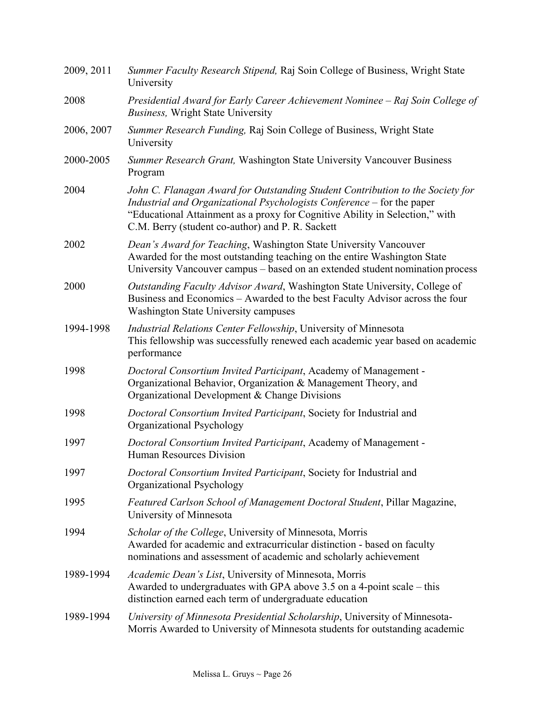| 2009, 2011 | Summer Faculty Research Stipend, Raj Soin College of Business, Wright State<br>University                                                                                                                                                                                                    |
|------------|----------------------------------------------------------------------------------------------------------------------------------------------------------------------------------------------------------------------------------------------------------------------------------------------|
| 2008       | Presidential Award for Early Career Achievement Nominee – Raj Soin College of<br><b>Business</b> , Wright State University                                                                                                                                                                   |
| 2006, 2007 | Summer Research Funding, Raj Soin College of Business, Wright State<br>University                                                                                                                                                                                                            |
| 2000-2005  | Summer Research Grant, Washington State University Vancouver Business<br>Program                                                                                                                                                                                                             |
| 2004       | John C. Flanagan Award for Outstanding Student Contribution to the Society for<br>Industrial and Organizational Psychologists Conference - for the paper<br>"Educational Attainment as a proxy for Cognitive Ability in Selection," with<br>C.M. Berry (student co-author) and P. R. Sackett |
| 2002       | Dean's Award for Teaching, Washington State University Vancouver<br>Awarded for the most outstanding teaching on the entire Washington State<br>University Vancouver campus – based on an extended student nomination process                                                                |
| 2000       | Outstanding Faculty Advisor Award, Washington State University, College of<br>Business and Economics – Awarded to the best Faculty Advisor across the four<br><b>Washington State University campuses</b>                                                                                    |
| 1994-1998  | Industrial Relations Center Fellowship, University of Minnesota<br>This fellowship was successfully renewed each academic year based on academic<br>performance                                                                                                                              |
| 1998       | Doctoral Consortium Invited Participant, Academy of Management -<br>Organizational Behavior, Organization & Management Theory, and<br>Organizational Development & Change Divisions                                                                                                          |
| 1998       | Doctoral Consortium Invited Participant, Society for Industrial and<br>Organizational Psychology                                                                                                                                                                                             |
| 1997       | Doctoral Consortium Invited Participant, Academy of Management -<br><b>Human Resources Division</b>                                                                                                                                                                                          |
| 1997       | Doctoral Consortium Invited Participant, Society for Industrial and<br>Organizational Psychology                                                                                                                                                                                             |
| 1995       | Featured Carlson School of Management Doctoral Student, Pillar Magazine,<br>University of Minnesota                                                                                                                                                                                          |
| 1994       | Scholar of the College, University of Minnesota, Morris<br>Awarded for academic and extracurricular distinction - based on faculty<br>nominations and assessment of academic and scholarly achievement                                                                                       |
| 1989-1994  | Academic Dean's List, University of Minnesota, Morris<br>Awarded to undergraduates with GPA above 3.5 on a 4-point scale – this<br>distinction earned each term of undergraduate education                                                                                                   |
| 1989-1994  | University of Minnesota Presidential Scholarship, University of Minnesota-<br>Morris Awarded to University of Minnesota students for outstanding academic                                                                                                                                    |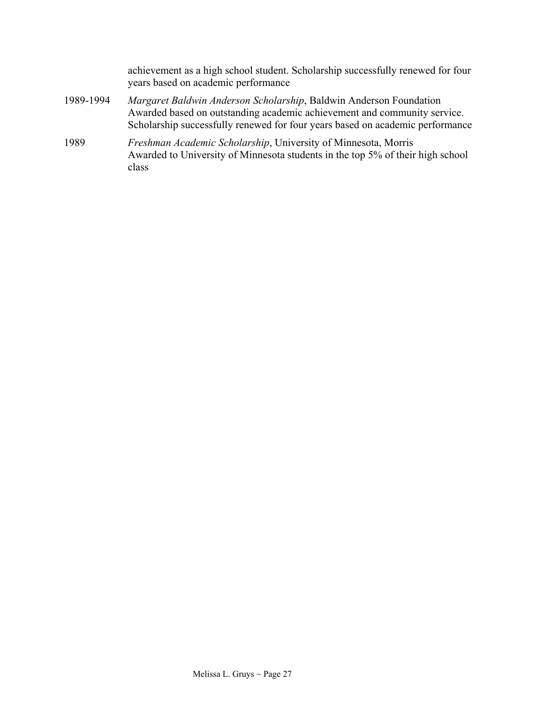achievement as a high school student. Scholarship successfully renewed for four years based on academic performance

- 1989-1994 *Margaret Baldwin Anderson Scholarship*, Baldwin Anderson Foundation Awarded based on outstanding academic achievement and community service. Scholarship successfully renewed for four years based on academic performance
- 1989 *Freshman Academic Scholarship*, University of Minnesota, Morris Awarded to University of Minnesota students in the top 5% of their high school class